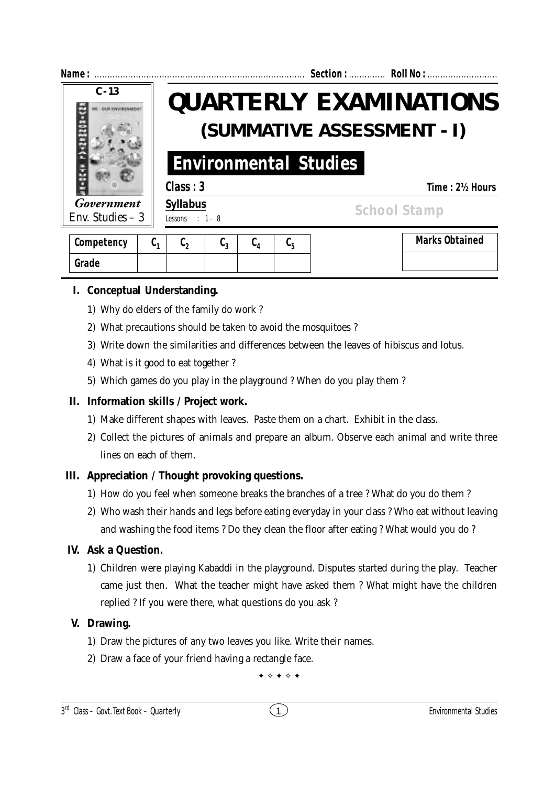

| Competency | u. | v٨ | u٠<br> | ັບ 4 | u- | <b>Marks Obtained</b> |
|------------|----|----|--------|------|----|-----------------------|
| Grade      |    |    |        |      |    |                       |

# **I. Conceptual Understanding.**

- 1) Why do elders of the family do work ?
- 2) What precautions should be taken to avoid the mosquitoes ?
- 3) Write down the similarities and differences between the leaves of hibiscus and lotus.
- 4) What is it good to eat together ?
- 5) Which games do you play in the playground ? When do you play them ?

## **II. Information skills / Project work.**

- 1) Make different shapes with leaves. Paste them on a chart. Exhibit in the class.
- 2) Collect the pictures of animals and prepare an album. Observe each animal and write three lines on each of them.

## **III. Appreciation / Thought provoking questions.**

- 1) How do you feel when someone breaks the branches of a tree ? What do you do them ?
- 2) Who wash their hands and legs before eating everyday in your class ? Who eat without leaving and washing the food items ? Do they clean the floor after eating ? What would you do ?

## **IV. Ask a Question.**

1) Children were playing Kabaddi in the playground. Disputes started during the play. Teacher came just then. What the teacher might have asked them ? What might have the children replied ? If you were there, what questions do you ask ?

## **V. Drawing.**

- 1) Draw the pictures of any two leaves you like. Write their names.
- 2) Draw a face of your friend having a rectangle face.

 $\bullet \diamond \bullet \diamond \bullet$ 

### 3 rd Class – Govt. Text Book – **Quarterly** Environmental Studies